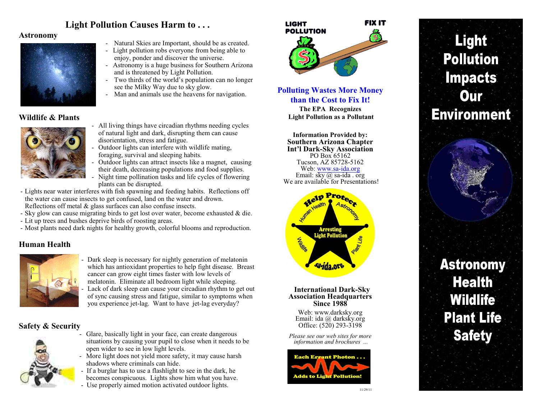# **Light Pollution Causes Harm to . . .**

### **Astronomy**



- Natural Skies are Important, should be as created.
- Light pollution robs everyone from being able to enjoy, ponder and discover the universe.
- Astronomy is a huge business for Southern Arizona and is threatened by Light Pollution.
- Two thirds of the world's population can no longer see the Milky Way due to sky glow.
- Man and animals use the heavens for navigation.

## **Wildlife & Plants**



- All living things have circadian rhythms needing cycles of natural light and dark, disrupting them can cause disorientation, stress and fatigue.
- Outdoor lights can interfere with wildlife mating, foraging, survival and sleeping habits.
- Outdoor lights can attract insects like a magnet, causing their death, decreasing populations and food supplies.
- Night time pollination tasks and life cycles of flowering plants can be disrupted.
- Lights near water interferes with fish spawning and feeding habits. Reflections off the water can cause insects to get confused, land on the water and drown. Reflections off metal & glass surfaces can also confuse insects.
- Sky glow can cause migrating birds to get lost over water, become exhausted & die.
- Lit up trees and bushes deprive birds of roosting areas.
- Most plants need dark nights for healthy growth, colorful blooms and reproduction.

## **Human Health**



Dark sleep is necessary for nightly generation of melatonin which has antioxidant properties to help fight disease. Breast cancer can grow eight times faster with low levels of melatonin. Eliminate all bedroom light while sleeping. Lack of dark sleep can cause your circadian rhythm to get out of sync causing stress and fatigue, similar to symptoms when you experience jet-lag. Want to have jet-lag everyday?

## **Safety & Security**



- Glare, basically light in your face, can create dangerous situations by causing your pupil to close when it needs to be open wider to see in low light levels.
- More light does not yield more safety, it may cause harsh shadows where criminals can hide.
- If a burglar has to use a flashlight to see in the dark, he becomes conspicuous. Lights show him what you have.
- Use properly aimed motion activated outdoor lights.



# **Polluting Wastes More Money than the Cost to Fix It!**

**The EPA Recognizes Light Pollution as a Pollutant**

**Information Provided by: Southern Arizona Chapter Int'l Dark-Sky Association** PO Box 65162 Tucson, AZ 85728-5162 Web: [www.sa-ida.org](http://www.sa-ida.org) Email:  $s \overline{ky}$  (*a*) sa-ida . org We are available for Presentations!



#### **International Dark-Sky Association Headquarters Since 1988**

Web: www.darksky.org Email: ida @ darksky.org Office: (520) 293-3198

*Please see our web sites for more information and brochures ...*



# Light **Pollution Impacts Our Environment Astronomy Health Wildlife Plant Life**

**Safety**